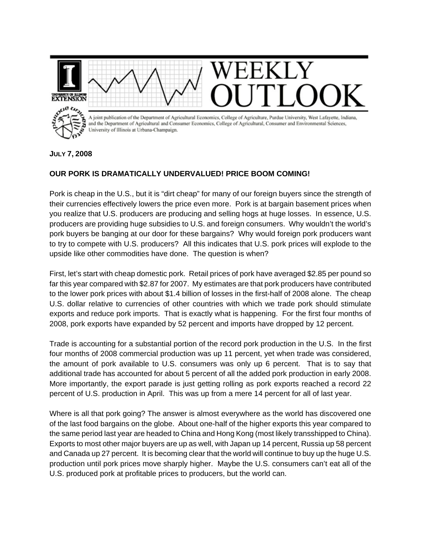

**JULY 7, 2008**

## **OUR PORK IS DRAMATICALLY UNDERVALUED! PRICE BOOM COMING!**

Pork is cheap in the U.S., but it is "dirt cheap" for many of our foreign buyers since the strength of their currencies effectively lowers the price even more. Pork is at bargain basement prices when you realize that U.S. producers are producing and selling hogs at huge losses. In essence, U.S. producers are providing huge subsidies to U.S. and foreign consumers. Why wouldn't the world's pork buyers be banging at our door for these bargains? Why would foreign pork producers want to try to compete with U.S. producers? All this indicates that U.S. pork prices will explode to the upside like other commodities have done. The question is when?

First, let's start with cheap domestic pork. Retail prices of pork have averaged \$2.85 per pound so far this year compared with \$2.87 for 2007. My estimates are that pork producers have contributed to the lower pork prices with about \$1.4 billion of losses in the first-half of 2008 alone. The cheap U.S. dollar relative to currencies of other countries with which we trade pork should stimulate exports and reduce pork imports. That is exactly what is happening. For the first four months of 2008, pork exports have expanded by 52 percent and imports have dropped by 12 percent.

Trade is accounting for a substantial portion of the record pork production in the U.S. In the first four months of 2008 commercial production was up 11 percent, yet when trade was considered, the amount of pork available to U.S. consumers was only up 6 percent. That is to say that additional trade has accounted for about 5 percent of all the added pork production in early 2008. More importantly, the export parade is just getting rolling as pork exports reached a record 22 percent of U.S. production in April. This was up from a mere 14 percent for all of last year.

Where is all that pork going? The answer is almost everywhere as the world has discovered one of the last food bargains on the globe. About one-half of the higher exports this year compared to the same period last year are headed to China and Hong Kong (most likely transshipped to China). Exports to most other major buyers are up as well, with Japan up 14 percent, Russia up 58 percent and Canada up 27 percent. It is becoming clear that the world will continue to buy up the huge U.S. production until pork prices move sharply higher. Maybe the U.S. consumers can't eat all of the U.S. produced pork at profitable prices to producers, but the world can.